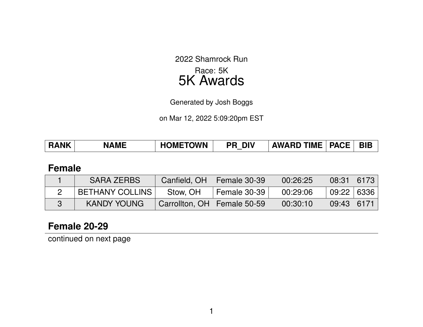2022 Shamrock Run Race: 5K 5K Awards

Generated by Josh Boggs

on Mar 12, 2022 5:09:20pm EST

| <b>BIB</b><br><b>HOMETOWN</b><br><b>RANK</b><br><b>AWARD TIME</b><br><b>DIV</b><br><b>PACE</b><br><b>NAME</b><br>PR |
|---------------------------------------------------------------------------------------------------------------------|
|---------------------------------------------------------------------------------------------------------------------|

#### **Female**

| <b>SARA ZERBS</b>      |                               | Canfield, $OH$   Female 30-39 | 00:26:25 | $08:31$ 6173 |  |
|------------------------|-------------------------------|-------------------------------|----------|--------------|--|
| <b>BETHANY COLLINS</b> | Stow, OH                      | Female 30-39                  | 00:29:06 | 09:22 6336   |  |
| <b>KANDY YOUNG</b>     | Carrollton, OH   Female 50-59 |                               | 00:30:10 | 09:43   6171 |  |

## **Female 20-29**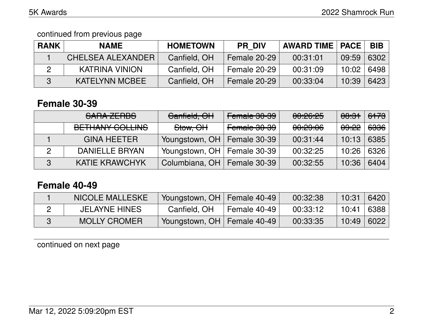#### continued from previous page

| <b>RANK</b> | <b>NAME</b>           | <b>HOMETOWN</b> | <b>PR DIV</b> | <b>AWARD TIME   PACE</b> |       | <b>BIB</b> |
|-------------|-----------------------|-----------------|---------------|--------------------------|-------|------------|
|             | CHELSEA ALEXANDER     | Canfield, OH    | Female 20-29  | 00:31:01                 | 09:59 | 6302       |
|             | KATRINA VINION        | Canfield, OH    | Female 20-29  | 00:31:09                 | 10:02 | 6498       |
|             | <b>KATELYNN MCBEE</b> | Canfield, OH    | Female 20-29  | 00:33:04                 | 10:39 | 6423       |

#### **Female 30-39**

|   | SARA ZERBS                                     | Canfield, OH                  | Female 30-39 | 00:26:25            | <del>08:31</del> | <del>6173</del>   |
|---|------------------------------------------------|-------------------------------|--------------|---------------------|------------------|-------------------|
|   | DETILIANIV COLLINIO<br><b>DETHAIVE UVELINO</b> | <del>Stow, OH</del>           | Female 30-39 | <del>00:29:06</del> | <del>09:22</del> | <del>6336</del> ∣ |
|   | <b>GINA HEETER</b>                             | Youngstown, OH   Female 30-39 |              | 00:31:44            | 10:13            | 6385              |
|   | DANIELLE BRYAN                                 | Youngstown, OH   Female 30-39 |              | 00:32:25            | 10:26            | 6326              |
| 3 | <b>KATIE KRAWCHYK</b>                          | Columbiana, OH   Female 30-39 |              | 00:32:55            | 10:36            | 6404              |

## **Female 40-49**

| <b>NICOLE MALLESKE</b> | Youngstown, OH   Female 40-49 |              | 00:32:38 | 10:31        | 6420     |
|------------------------|-------------------------------|--------------|----------|--------------|----------|
| <b>JELAYNE HINES</b>   | Canfield, OH                  | Female 40-49 | 00:33:12 | 10:41        | ∣ 6388 ∣ |
| <b>MOLLY CROMER</b>    | Youngstown, OH   Female 40-49 |              | 00:33:35 | $10:49$ 6022 |          |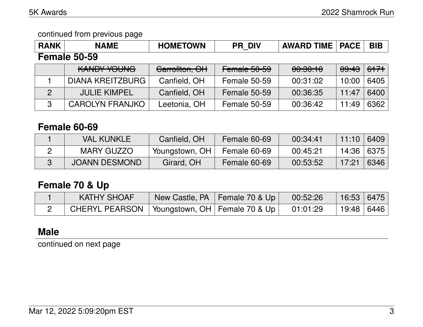#### continued from previous page

| <b>RANK</b>    | <b>NAME</b>             | <b>HOMETOWN</b> | <b>PR DIV</b>       | <b>AWARD TIME   PACE</b> |       | <b>BIB</b> |
|----------------|-------------------------|-----------------|---------------------|--------------------------|-------|------------|
|                | <b>Female 50-59</b>     |                 |                     |                          |       |            |
|                | <b>KANDY YOUNG</b>      | Carrollton, OH  | Female 50-59        | 00:30:10                 | 09:43 | 6171       |
|                | <b>DIANA KREITZBURG</b> | Canfield, OH    | <b>Female 50-59</b> | 00:31:02                 | 10:00 | 6405       |
| $\overline{2}$ | <b>JULIE KIMPEL</b>     | Canfield, OH    | Female 50-59        | 00:36:35                 | 11:47 | 6400       |
| 3              | <b>CAROLYN FRANJKO</b>  | Leetonia, OH    | Female 50-59        | 00:36:42                 | 11:49 | 6362       |

#### **Female 60-69**

| <b>VAL KUNKLE</b>    | Canfield, OH   | Female 60-69 | 00:34:41 | 11:10        | 6409 |
|----------------------|----------------|--------------|----------|--------------|------|
| MARY GUZZO           | Youngstown, OH | Female 60-69 | 00:45:21 | 14:36   6375 |      |
| <b>JOANN DESMOND</b> | Girard, OH     | Female 60-69 | 00:53:52 | 17:21        | 6346 |

# **Female 70 & Up**

| <b>KATHY SHOAF</b>                                          | New Castle, PA   Female 70 & Up | 00:52:26 | 16:53 6475 |  |
|-------------------------------------------------------------|---------------------------------|----------|------------|--|
| CHERYL PEARSON   Youngstown, OH   Female 70 & Up   01:01:29 |                                 |          | 19:48 6446 |  |

# **Male**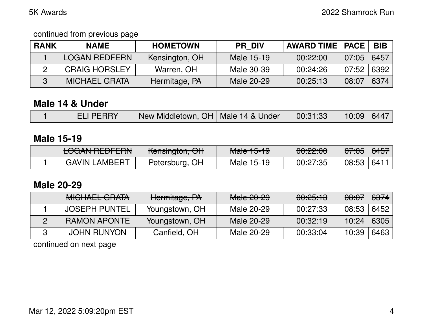continued from previous page

| <b>RANK</b> | <b>NAME</b>          | <b>HOMETOWN</b> | <b>PR DIV</b> | <b>AWARD TIME   PACE  </b> |       | <b>BIB</b> |
|-------------|----------------------|-----------------|---------------|----------------------------|-------|------------|
|             | <b>LOGAN REDFERN</b> | Kensington, OH  | Male 15-19    | 00:22:00                   | 07:05 | 6457       |
|             | <b>CRAIG HORSLEY</b> | Warren, OH      | Male 30-39    | 00:24:26                   | 07:52 | 6392       |
|             | <b>MICHAEL GRATA</b> | Hermitage, PA   | Male 20-29    | 00:25:13                   | 08:07 | 6374       |

## **Male 14 & Under**

|  |  | <b>ELI PERRY</b> | New Middletown, OH   Male 14 & Under |  | $\begin{array}{ c c c c c c c c } \hline \quad & 00.31.33 & 10.09 & 6447 \ \hline \end{array}$ |  |  |
|--|--|------------------|--------------------------------------|--|------------------------------------------------------------------------------------------------|--|--|
|--|--|------------------|--------------------------------------|--|------------------------------------------------------------------------------------------------|--|--|

#### **Male 15-19**

| LOCAN DEDEEDN<br>EVUANTIEDI ENN | $L$ anguartan $\bigcap$<br><del>Kensington, Ort</del> | $M = 4E 4Q$<br><del>Maic To-To</del> | $\Omega$<br><u>UU. ZZ.UU</u> | <del>07:05</del> | <del>6457</del>  |
|---------------------------------|-------------------------------------------------------|--------------------------------------|------------------------------|------------------|------------------|
| <b>GAVIN LAMBERT</b>            | Petersburg, OH                                        | Male 15-19                           | 00:27:35                     | 08:53            | 641 <sup>1</sup> |

## **Male 20-29**

| <b>MICHAEL GRATA</b> | Hermitage, PA  | Male 20-29 | <del>00:25:13</del> | <del>08:07</del> | <del>6374</del> |
|----------------------|----------------|------------|---------------------|------------------|-----------------|
| <b>JOSEPH PUNTEL</b> | Youngstown, OH | Male 20-29 | 00:27:33            | 08:53            | 6452            |
| <b>RAMON APONTE</b>  | Youngstown, OH | Male 20-29 | 00:32:19            | 10:24            | 6305            |
| <b>JOHN RUNYON</b>   | Canfield, OH   | Male 20-29 | 00:33:04            | 10:39            | 6463            |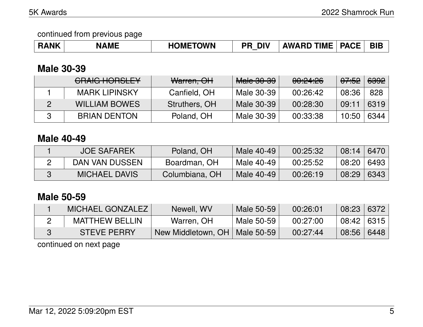#### continued from previous page

| <b>HOMETOWN</b><br><b>PACE</b><br><b>AWARD TIME</b><br><b>RANK</b><br><b>DIV</b><br>PR<br><b>NAME</b> | <b>BIB</b> |
|-------------------------------------------------------------------------------------------------------|------------|
|-------------------------------------------------------------------------------------------------------|------------|

# **Male 30-39**

| CRAIG HORSLEY        | Warren, OH    | <b>Male 30-39</b> | 00:24:26 | <del>07:52</del> | <del>6392</del> |
|----------------------|---------------|-------------------|----------|------------------|-----------------|
| <b>MARK LIPINSKY</b> | Canfield, OH  | Male 30-39        | 00:26:42 | 08:36            | 828             |
| <b>WILLIAM BOWES</b> | Struthers, OH | Male 30-39        | 00:28:30 | 09:11            | 6319            |
| <b>BRIAN DENTON</b>  | Poland, OH    | Male 30-39        | 00:33:38 | 10:50            | 6344            |

## **Male 40-49**

| <b>JOE SAFAREK</b>   | Poland, OH     | Male 40-49 | 00:25:32 | 08:14 | 6470 |
|----------------------|----------------|------------|----------|-------|------|
| DAN VAN DUSSEN       | Boardman, OH   | Male 40-49 | 00:25:52 | 08:20 | 6493 |
| <b>MICHAEL DAVIS</b> | Columbiana, OH | Male 40-49 | 00:26:19 | 08:29 | 6343 |

## **Male 50-59**

| MICHAEL GONZALEZ      | Newell, WV                      | Male 50-59 | 00:26:01 | 08:23        | 6372 |
|-----------------------|---------------------------------|------------|----------|--------------|------|
| <b>MATTHEW BELLIN</b> | Warren, OH                      | Male 50-59 | 00:27:00 | $08:42$ 6315 |      |
| <b>STEVE PERRY</b>    | New Middletown, OH   Male 50-59 |            | 00:27:44 | 08:56        | 6448 |